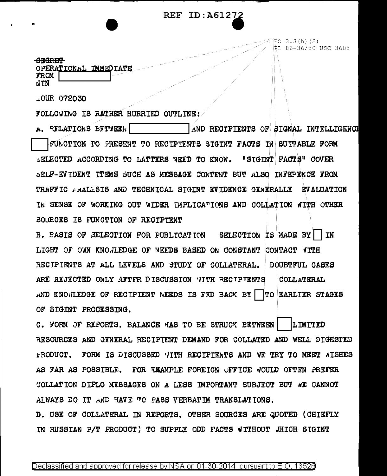## **REF ID:A6127**



EO 3.3(h)(2) PL 86-36/50 USC 3605

**SEGRET** OPERATIONAL IMMEDIATE FROM NTN

LOUR 072030

FOLLOWING IS RATHER HURRIED OUTLINE:

A. RELATIONS BETWEEN AND RECIPIENTS OF SIGNAL INTELLIGENCH FUNCTION TO FRESENT TO RECIPIENTS SIGINT FACTS IN SUITABLE FORM SELECTED ACCORDING TO LATTERS NEED TO KNOW. "STGINT FACTS" COVER SELF-EVIDENT ITEMS SUCH AS MESSAGE CONTENT BUT ALSO INFEPENCE FROM TRAFFIC ANALLSIS AND TECHNICAL SIGINT EVIDENCE GENERALLY EVALUATION IN SENSE OF WORKING OUT WIDER IMPLICATIONS AND COLLATION WITH OTHER SOURCES IS FUNCTION OF RECIPIENT

B. PASIS OF SELECTION FOR PUBLICATION SELECTION IS MADE BY **TN** LIGHT OF OWN KNOJLEDGE OF NEEDS BASED ON CONSTANT CONTACT VITH RECIPIENTS AT ALL LEVELS AND STUDY OF COLLATERAL. DOUBTFUL CASES ARE REJECTED ONLY AFTFR DISCUSSION VITH RECTPTENTS COLLATERAL AND KNOWLEDGE OF RECIPIENT NEEDS IS FFD BACK BY | TO EARLIER STAGES OF SIGINT PROCESSING.

C. FORM OF REPORTS. BALANCE HAS TO BE STRUCK BETWEEN **LIMITED** RESOURCES AND GENERAL RECIPTENT DEMAND FOR COLLATED AND WELL DIGESTED FRODUCT. FORM IS DISCUSSED TITH RECIPIENTS AND WE TRY TO MEET WISHES AS FAR AS POSSIBLE. FOR EXAMPLE FOREIGN UFFICE WOULD OFTEN PREFER COLLATION DIPLO MESSAGES ON A LESS IMPORTANT SUBJECT BUT WE CANNOT ALWAYS DO TT AND HAVE TO PASS VERBATIM TRANSLATIONS. D. USE OF COLLATERAL IN REPORTS. OTHER SOURCES ARE QUOTED (CHIEFLY

IN RUSSIAN P/T PRODUCT) TO SUPPLY ODD FACTS WITHOUT .HICH SIGINT